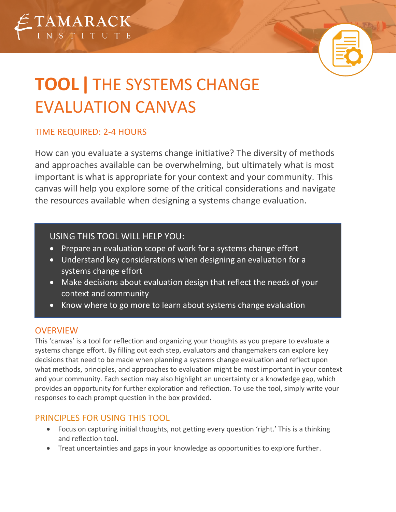

# **TOOL|** THE SYSTEMS CHANGE EVALUATION CANVAS

# TIME REQUIRED: 2-4 HOURS

How can you evaluate a systems change initiative? The diversity of methods and approaches available can be overwhelming, but ultimately what is most important is what is appropriate for your context and your community. This canvas will help you explore some of the critical considerations and navigate the resources available when designing a systems change evaluation.

# USING THIS TOOL WILL HELP YOU:

- Prepare an evaluation scope of work for a systems change effort
- Understand key considerations when designing an evaluation for a systems change effort
- Make decisions about evaluation design that reflect the needs of your context and community
- Know where to go more to learn about systems change evaluation

# **OVERVIEW**

This 'canvas' is a tool for reflection and organizing your thoughts as you prepare to evaluate a systems change effort. By filling out each step, evaluators and changemakers can explore key decisions that need to be made when planning a systems change evaluation and reflect upon what methods, principles, and approaches to evaluation might be most important in your context and your community. Each section may also highlight an uncertainty or a knowledge gap, which provides an opportunity for further exploration and reflection. To use the tool, simply write your responses to each prompt question in the box provided.

# PRINCIPLES FOR USING THIS TOOL

- Focus on capturing initial thoughts, not getting every question 'right.' This is a thinking and reflection tool.
- Treat uncertainties and gaps in your knowledge as opportunities to explore further.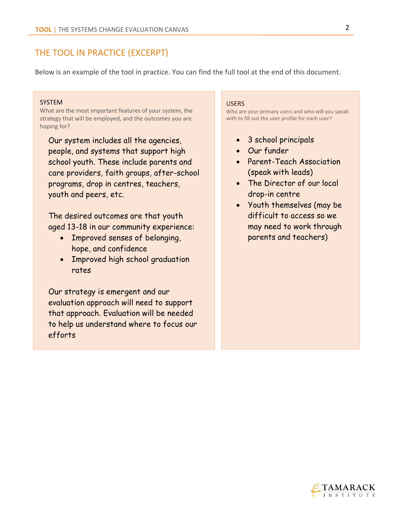## THE TOOL IN PRACTICE (EXCERPT)

Below is an example of the tool in practice. You can find the full tool at the end of this document.

#### SYSTEM

What are the most important features of your system, the strategy that will be employed, and the outcomes you are hoping for?

Our system includes all the agencies, people, and systems that support high school youth. These include parents and care providers, faith groups, after-school programs, drop in centres, teachers, youth and peers, etc.

The desired outcomes are that youth aged 13-18 in our community experience:

- Improved senses of belonging, hope, and confidence
- Improved high school graduation rates

Our strategy is emergent and our evaluation approach will need to support that approach. Evaluation will be needed to help us understand where to focus our efforts

#### USERS

Who are your primary users and who will you speak with to fill out the user profile for each user?

- 3 school principals
- Our funder
- Parent-Teach Association (speak with leads)
- The Director of our local drop-in centre
- Youth themselves (may be difficult to access so we may need to work through parents and teachers)

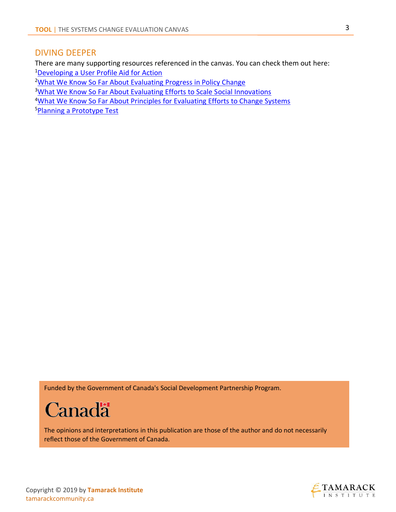# DIVING DEEPER

There are many supporting resources referenced in the canvas. You can check them out here: <sup>1</sup>[Developing a User Profile Aid for Action](http://www.tamarackcommunity.ca/library/developing-a-user-profile-evaluation)

<sup>2</sup>[What We Know So Far About Evaluating Progress in Policy Change](http://www.tamarackcommunity.ca/library/evaluating-progress-in-policy-change)

<sup>3</sup>[What We Know So Far About Evaluating Efforts to Scale Social Innovations](http://www.tamarackcommunity.ca/library/evaluating-efforts-scale-social-innovation)

4[What We Know So Far About Principles for Evaluating Efforts to Change Systems](https://cdn2.hubspot.net/hubfs/316071/Events/Multi-Day%20Events/Evaluation%20+%20Design/Resources/WhatWeKnowSoFar-Systems-Change-Evaluation_update.pdf)

<sup>5</sup>[Planning a Prototype Test](http://www.tamarackcommunity.ca/library/tool-planning-prototypes-and-testing)

Funded by the Government of Canada's Social Development Partnership Program.



The opinions and interpretations in this publication are those of the author and do not necessarily reflect those of the Government of Canada.



Copyright © 2019 by **Tamarack Institute** tamarackcommunity.ca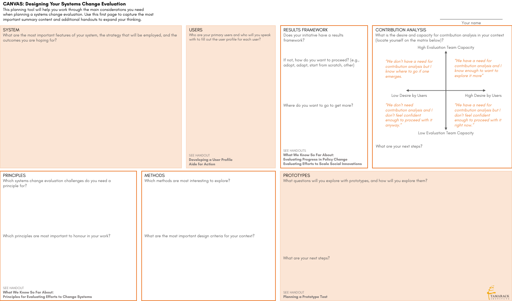## **CANVAS: Designing Your Systems Change Evaluation**

This planning tool will help you work through the main considerations you need when planning a systems change evaluation. Use this first page to capture the most important summary content and additional handouts to expand your thinking. Your name

#### **SYSTEM**

What are the most important features of your system, the strategy that will be employed, and the outcomes you are hoping for?

# **USERS**

Who are your primary users and who will you speak with to fill out the user profile for each user?

PRINCIPLES

Which systems change evaluation challenges do you need a

principle for?

Which principles are most important to honour in your work?

Which methods are most interesting to explore?

What are the most important design criteria for your context?

SEE HANDOUT

**Developing a User Profile** 

**Aide for Action** 

#### RESULTS FRAMEWORK Does your initiative have a results framework?

If not, how do you want to proceed? (e.g., adopt, adapt, start from scratch, other)

Where do you want to go to get more?

#### CONTRIBUTION ANALYSIS

What is the desire and capacity for contribution analysis in your context (locate yourself on the matrix below)?

What questions will you explore with prototypes, and how will you explore them?

SEE HANDOUT **What We Know So Far About: Principles for Evaluating Efforts to Change Systems**

# **METHODS**

SEE HANDOUTS **What We Know So Far About: Evaluating Progress in Policy Change Evaluating Efforts to Scale Social Innovations**

#### **PROTOTYPES**

SEE HANDOUT **Planning a Prototype Test**

*"We have a need for contribution analysis and I know enough to want to explore it more"*

Low Desire by Users **High Desire by Users** 

What are your next steps?

What are your next steps?



Low Evaluation Team Capacity

High Evaluation Team Capacity

*"We have a need for contribution analysis but I don't feel confident enough to proceed with it right now."*

*"We don't need contribution analysis and I don't feel confident enough to proceed with it anyway."*

*"We don't have a need for contribution analysis but I know where to go if one emerges.*